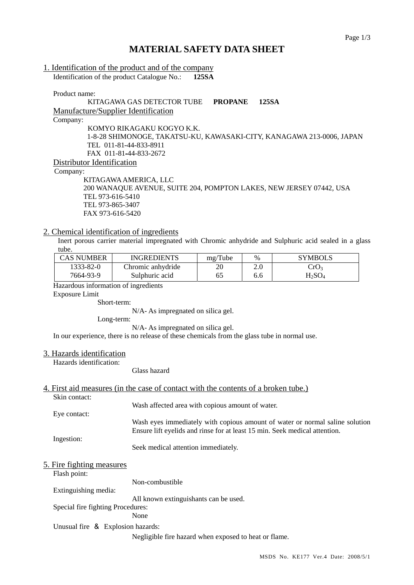# **MATERIAL SAFETY DATA SHEET**

| 1. Identification of the product and of the company |       |
|-----------------------------------------------------|-------|
| Identification of the product Catalogue No.:        | 125SA |

Product name:

KITAGAWA GAS DETECTOR TUBE **PROPANE 125SA** Manufacture/Supplier Identification Company: KOMYO RIKAGAKU KOGYO K.K. 1-8-28 SHIMONOGE, TAKATSU-KU, KAWASAKI-CITY, KANAGAWA 213-0006, JAPAN TEL 011-81-44-833-8911 FAX 011-81-44-833-2672 Distributor Identification

Company:

 KITAGAWA AMERICA, LLC 200 WANAQUE AVENUE, SUITE 204, POMPTON LAKES, NEW JERSEY 07442, USA TEL 973-616-5410 TEL 973-865-3407 FAX 973-616-5420

### 2. Chemical identification of ingredients

Inert porous carrier material impregnated with Chromic anhydride and Sulphuric acid sealed in a glass tube.

| CAS NUMBER | <b>INGREDIENTS</b> | mg/Tube | $\%$ | <b>SYMBOLS</b>   |
|------------|--------------------|---------|------|------------------|
| 1333-82-0  | Chromic anhydride  | 20      | 2.0  | CrO <sub>3</sub> |
| 7664-93-9  | Sulphuric acid     | 65      | 6.6  | $\rm H_2SO_4$    |

Hazardous information of ingredients

Exposure Limit

Short-term:

N/A- As impregnated on silica gel.

Long-term:

N/A- As impregnated on silica gel.

In our experience, there is no release of these chemicals from the glass tube in normal use.

### 3. Hazards identification

Hazards identification:

Glass hazard

### 4. First aid measures (in the case of contact with the contents of a broken tube.)

Skin contact: Wash affected area with copious amount of water. Eye contact: Wash eyes immediately with copious amount of water or normal saline solution Ensure lift eyelids and rinse for at least 15 min. Seek medical attention. Ingestion: Seek medical attention immediately.

### 5. Fire fighting measures

Flash point:

Extinguishing media:

All known extinguishants can be used.

Non-combustible

Special fire fighting Procedures:

None

Unusual fire & Explosion hazards:

Negligible fire hazard when exposed to heat or flame.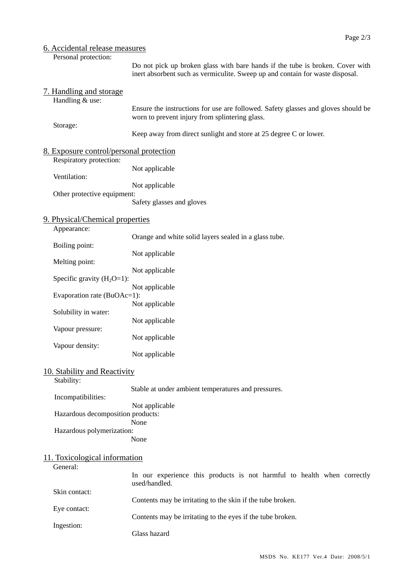# 6. Accidental release measures

Personal protection:

Do not pick up broken glass with bare hands if the tube is broken. Cover with inert absorbent such as vermiculite. Sweep up and contain for waste disposal.

| 7. Handling and storage                                                                                                                                                                                                                           | Ensure the instructions for use are followed. Safety glasses and gloves should be                                                                                                   |
|---------------------------------------------------------------------------------------------------------------------------------------------------------------------------------------------------------------------------------------------------|-------------------------------------------------------------------------------------------------------------------------------------------------------------------------------------|
| Handling & use:                                                                                                                                                                                                                                   | worn to prevent injury from splintering glass.                                                                                                                                      |
| Storage:                                                                                                                                                                                                                                          | Keep away from direct sunlight and store at 25 degree C or lower.                                                                                                                   |
| 8. Exposure control/personal protection<br>Respiratory protection:<br>Ventilation:<br>Other protective equipment:                                                                                                                                 | Not applicable<br>Not applicable<br>Safety glasses and gloves                                                                                                                       |
| 9. Physical/Chemical properties<br>Appearance:<br>Boiling point:<br>Melting point:<br>Specific gravity $(H_2O=1)$ :<br>Evaporation rate (BuOAc=1):<br>Solubility in water:<br>Vapour pressure:<br>Vapour density:<br>10. Stability and Reactivity | Orange and white solid layers sealed in a glass tube.<br>Not applicable<br>Not applicable<br>Not applicable<br>Not applicable<br>Not applicable<br>Not applicable<br>Not applicable |
| Stability:                                                                                                                                                                                                                                        | Stable at under ambient temperatures and pressures.                                                                                                                                 |
| Incompatibilities:                                                                                                                                                                                                                                | Not applicable                                                                                                                                                                      |
| Hazardous decomposition products:                                                                                                                                                                                                                 | None                                                                                                                                                                                |
| Hazardous polymerization:                                                                                                                                                                                                                         | None                                                                                                                                                                                |
| 11. Toxicological information                                                                                                                                                                                                                     | In our experience this products is not harmful to health when correctly                                                                                                             |
| General:                                                                                                                                                                                                                                          | used/handled.                                                                                                                                                                       |
| Skin contact:                                                                                                                                                                                                                                     | Contents may be irritating to the skin if the tube broken.                                                                                                                          |
| Eye contact:                                                                                                                                                                                                                                      | Contents may be irritating to the eyes if the tube broken.                                                                                                                          |
| Ingestion:                                                                                                                                                                                                                                        | Glass hazard                                                                                                                                                                        |